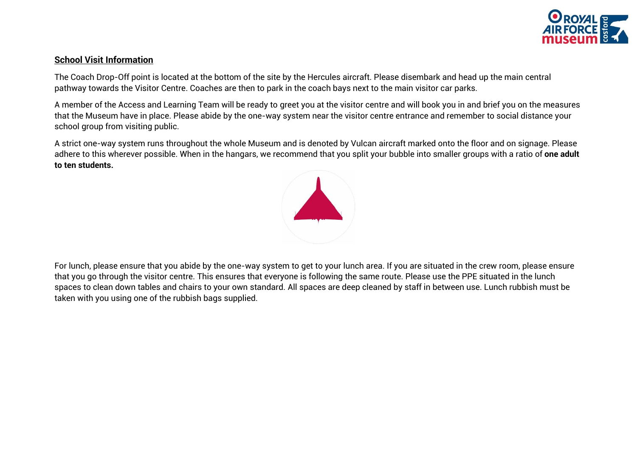

## **School Visit Information**

The Coach Drop-Off point is located at the bottom of the site by the Hercules aircraft. Please disembark and head up the main central pathway towards the Visitor Centre. Coaches are then to park in the coach bays next to the main visitor car parks.

A member of the Access and Learning Team will be ready to greet you at the visitor centre and will book you in and brief you on the measures that the Museum have in place. Please abide by the one-way system near the visitor centre entrance and remember to social distance your school group from visiting public.

A strict one-way system runs throughout the whole Museum and is denoted by Vulcan aircraft marked onto the floor and on signage. Please adhere to this wherever possible. When in the hangars, we recommend that you split your bubble into smaller groups with a ratio of **one adult to ten students.** 



For lunch, please ensure that you abide by the one-way system to get to your lunch area. If you are situated in the crew room, please ensure that you go through the visitor centre. This ensures that everyone is following the same route. Please use the PPE situated in the lunch spaces to clean down tables and chairs to your own standard. All spaces are deep cleaned by staff in between use. Lunch rubbish must be taken with you using one of the rubbish bags supplied.